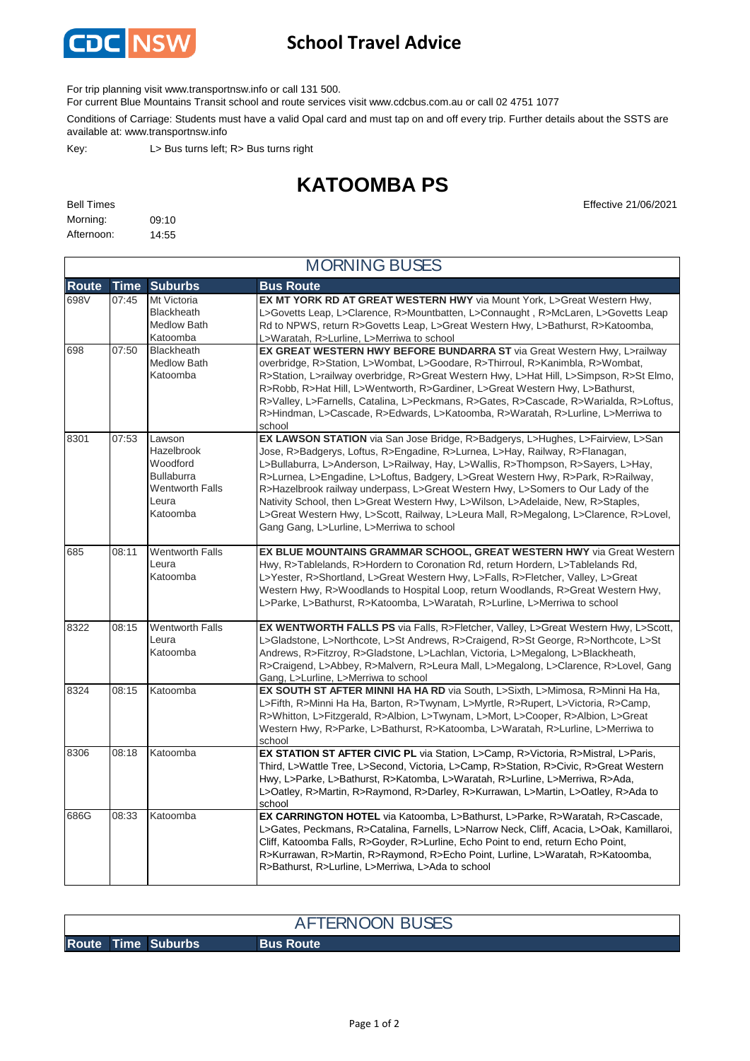

## **School Travel Advice**

For trip planning visit www.transportnsw.info or call 131 500.

For current Blue Mountains Transit school and route services visit www.cdcbus.com.au or call 02 4751 1077

Conditions of Carriage: Students must have a valid Opal card and must tap on and off every trip. Further details about the SSTS are available at: www.transportnsw.info

Key: L> Bus turns left; R> Bus turns right

## **KATOOMBA PS**

| <b>Bell Times</b> |       |
|-------------------|-------|
| Morning:          | 09:10 |
| Afternoon:        | 14:55 |

**Effective 21/06/2021** 

|              | <b>MORNING BUSES</b> |                                                                                                      |                                                                                                                                                                                                                                                                                                                                                                                                                                                                                                                                                                                                                                                     |  |  |  |
|--------------|----------------------|------------------------------------------------------------------------------------------------------|-----------------------------------------------------------------------------------------------------------------------------------------------------------------------------------------------------------------------------------------------------------------------------------------------------------------------------------------------------------------------------------------------------------------------------------------------------------------------------------------------------------------------------------------------------------------------------------------------------------------------------------------------------|--|--|--|
| <b>Route</b> | Time                 | <b>Suburbs</b>                                                                                       | <b>Bus Route</b>                                                                                                                                                                                                                                                                                                                                                                                                                                                                                                                                                                                                                                    |  |  |  |
| 698V         | 07:45                | Mt Victoria<br>Blackheath<br><b>Medlow Bath</b><br>Katoomba                                          | EX MT YORK RD AT GREAT WESTERN HWY via Mount York, L>Great Western Hwy,<br>L>Govetts Leap, L>Clarence, R>Mountbatten, L>Connaught, R>McLaren, L>Govetts Leap<br>Rd to NPWS, return R>Govetts Leap, L>Great Western Hwy, L>Bathurst, R>Katoomba,<br>L>Waratah, R>Lurline, L>Merriwa to school                                                                                                                                                                                                                                                                                                                                                        |  |  |  |
| 698          | 07:50                | <b>Blackheath</b><br><b>Medlow Bath</b><br>Katoomba                                                  | <b>EX GREAT WESTERN HWY BEFORE BUNDARRA ST via Great Western Hwy, L&gt;railway</b><br>overbridge, R>Station, L>Wombat, L>Goodare, R>Thirroul, R>Kanimbla, R>Wombat,<br>R>Station, L>railway overbridge, R>Great Western Hwy, L>Hat Hill, L>Simpson, R>St Elmo,<br>R>Robb, R>Hat Hill, L>Wentworth, R>Gardiner, L>Great Western Hwy, L>Bathurst,<br>R>Valley, L>Farnells, Catalina, L>Peckmans, R>Gates, R>Cascade, R>Warialda, R>Loftus,<br>R>Hindman, L>Cascade, R>Edwards, L>Katoomba, R>Waratah, R>Lurline, L>Merriwa to<br>school                                                                                                               |  |  |  |
| 8301         | 07:53                | Lawson<br>Hazelbrook<br>Woodford<br><b>Bullaburra</b><br><b>Wentworth Falls</b><br>Leura<br>Katoomba | EX LAWSON STATION via San Jose Bridge, R>Badgerys, L>Hughes, L>Fairview, L>San<br>Jose, R>Badgerys, Loftus, R>Engadine, R>Lurnea, L>Hay, Railway, R>Flanagan,<br>L>Bullaburra, L>Anderson, L>Railway, Hay, L>Wallis, R>Thompson, R>Sayers, L>Hay,<br>R>Lurnea, L>Engadine, L>Loftus, Badgery, L>Great Western Hwy, R>Park, R>Railway,<br>R>Hazelbrook railway underpass, L>Great Western Hwy, L>Somers to Our Lady of the<br>Nativity School, then L>Great Western Hwy, L>Wilson, L>Adelaide, New, R>Staples,<br>L>Great Western Hwy, L>Scott, Railway, L>Leura Mall, R>Megalong, L>Clarence, R>Lovel,<br>Gang Gang, L>Lurline, L>Merriwa to school |  |  |  |
| 685          | 08:11                | <b>Wentworth Falls</b><br>Leura<br>Katoomba                                                          | EX BLUE MOUNTAINS GRAMMAR SCHOOL, GREAT WESTERN HWY via Great Western<br>Hwy, R>Tablelands, R>Hordern to Coronation Rd, return Hordern, L>Tablelands Rd,<br>L>Yester, R>Shortland, L>Great Western Hwy, L>Falls, R>Fletcher, Valley, L>Great<br>Western Hwy, R>Woodlands to Hospital Loop, return Woodlands, R>Great Western Hwy,<br>L>Parke, L>Bathurst, R>Katoomba, L>Waratah, R>Lurline, L>Merriwa to school                                                                                                                                                                                                                                     |  |  |  |
| 8322         | 08:15                | <b>Wentworth Falls</b><br>Leura<br>Katoomba                                                          | EX WENTWORTH FALLS PS via Falls, R>Fletcher, Valley, L>Great Western Hwy, L>Scott,<br>L>Gladstone, L>Northcote, L>St Andrews, R>Craigend, R>St George, R>Northcote, L>St<br>Andrews, R>Fitzroy, R>Gladstone, L>Lachlan, Victoria, L>Megalong, L>Blackheath,<br>R>Craigend, L>Abbey, R>Malvern, R>Leura Mall, L>Megalong, L>Clarence, R>Lovel, Gang<br>Gang, L>Lurline, L>Merriwa to school                                                                                                                                                                                                                                                          |  |  |  |
| 8324         | 08:15                | Katoomba                                                                                             | EX SOUTH ST AFTER MINNI HA HA RD via South, L>Sixth, L>Mimosa, R>Minni Ha Ha,<br>L>Fifth, R>Minni Ha Ha, Barton, R>Twynam, L>Myrtle, R>Rupert, L>Victoria, R>Camp,<br>R>Whitton, L>Fitzgerald, R>Albion, L>Twynam, L>Mort, L>Cooper, R>Albion, L>Great<br>Western Hwy, R>Parke, L>Bathurst, R>Katoomba, L>Waratah, R>Lurline, L>Merriwa to<br>school                                                                                                                                                                                                                                                                                                |  |  |  |
| 8306         | 08:18                | Katoomba                                                                                             | <b>EX STATION ST AFTER CIVIC PL</b> via Station, L>Camp, R>Victoria, R>Mistral, L>Paris,<br>Third, L>Wattle Tree, L>Second, Victoria, L>Camp, R>Station, R>Civic, R>Great Western<br>Hwy, L>Parke, L>Bathurst, R>Katomba, L>Waratah, R>Lurline, L>Merriwa, R>Ada,<br>L>Oatley, R>Martin, R>Raymond, R>Darley, R>Kurrawan, L>Martin, L>Oatley, R>Ada to<br>school                                                                                                                                                                                                                                                                                    |  |  |  |
| 686G         | 08:33                | Katoomba                                                                                             | <b>EX CARRINGTON HOTEL</b> via Katoomba, L>Bathurst, L>Parke, R>Waratah, R>Cascade,<br>L>Gates, Peckmans, R>Catalina, Farnells, L>Narrow Neck, Cliff, Acacia, L>Oak, Kamillaroi,<br>Cliff, Katoomba Falls, R>Goyder, R>Lurline, Echo Point to end, return Echo Point,<br>R>Kurrawan, R>Martin, R>Raymond, R>Echo Point, Lurline, L>Waratah, R>Katoomba,<br>R>Bathurst, R>Lurline, L>Merriwa, L>Ada to school                                                                                                                                                                                                                                        |  |  |  |

**Route Time Suburbs Bus Route** AFTERNOON BUSES